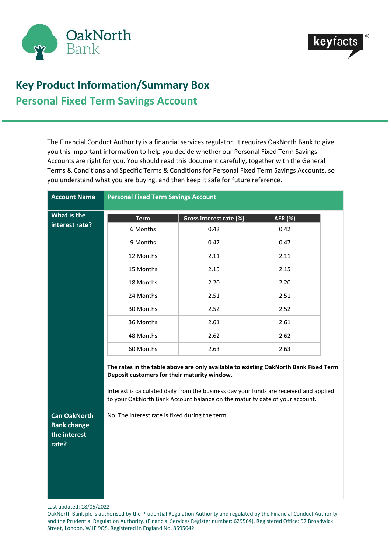



## **Key Product Information/Summary Box Personal Fixed Term Savings Account**

The Financial Conduct Authority is a financial services regulator. It requires OakNorth Bank to give you this important information to help you decide whether our Personal Fixed Term Savings Accounts are right for you. You should read this document carefully, together with the General Terms & Conditions and Specific Terms & Conditions for Personal Fixed Term Savings Accounts, so you understand what you are buying, and then keep it safe for future reference.

| <b>Account Name</b>                                                | <b>Personal Fixed Term Savings Account</b>                                                                                                                                                                                                                                                                    |                         |                |  |  |
|--------------------------------------------------------------------|---------------------------------------------------------------------------------------------------------------------------------------------------------------------------------------------------------------------------------------------------------------------------------------------------------------|-------------------------|----------------|--|--|
| What is the                                                        | <b>Term</b>                                                                                                                                                                                                                                                                                                   | Gross interest rate (%) | <b>AER (%)</b> |  |  |
| interest rate?                                                     | 6 Months                                                                                                                                                                                                                                                                                                      | 0.42                    | 0.42           |  |  |
|                                                                    | 9 Months                                                                                                                                                                                                                                                                                                      | 0.47                    | 0.47           |  |  |
|                                                                    | 12 Months                                                                                                                                                                                                                                                                                                     | 2.11                    | 2.11           |  |  |
|                                                                    | 15 Months                                                                                                                                                                                                                                                                                                     | 2.15                    | 2.15           |  |  |
|                                                                    | 18 Months                                                                                                                                                                                                                                                                                                     | 2.20                    | 2.20           |  |  |
|                                                                    | 24 Months                                                                                                                                                                                                                                                                                                     | 2.51                    | 2.51           |  |  |
|                                                                    | 30 Months                                                                                                                                                                                                                                                                                                     | 2.52                    | 2.52           |  |  |
|                                                                    | 36 Months                                                                                                                                                                                                                                                                                                     | 2.61                    | 2.61           |  |  |
|                                                                    | 48 Months                                                                                                                                                                                                                                                                                                     | 2.62                    | 2.62           |  |  |
|                                                                    | 60 Months                                                                                                                                                                                                                                                                                                     | 2.63                    | 2.63           |  |  |
|                                                                    | The rates in the table above are only available to existing OakNorth Bank Fixed Term<br>Deposit customers for their maturity window.<br>Interest is calculated daily from the business day your funds are received and applied<br>to your OakNorth Bank Account balance on the maturity date of your account. |                         |                |  |  |
| <b>Can OakNorth</b><br><b>Bank change</b><br>the interest<br>rate? | No. The interest rate is fixed during the term.                                                                                                                                                                                                                                                               |                         |                |  |  |

Last updated: 18/05/2022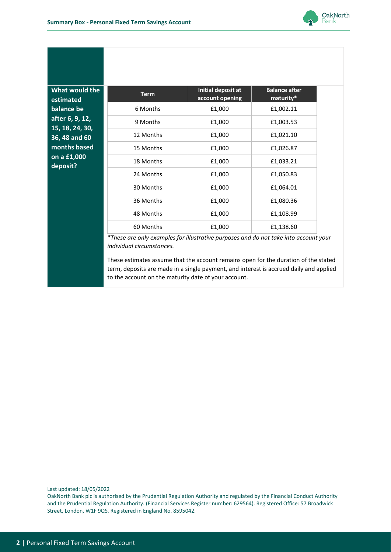

**What would the estimated balance be after 6, 9, 12, 15, 18, 24, 30, 36, 48 and 60 months based on a £1,000 deposit?**

| <b>Term</b> | Initial deposit at<br>account opening | <b>Balance after</b><br>maturity* |
|-------------|---------------------------------------|-----------------------------------|
| 6 Months    | £1,000                                | £1,002.11                         |
| 9 Months    | £1,000                                | £1,003.53                         |
| 12 Months   | £1,000                                | £1,021.10                         |
| 15 Months   | £1,000                                | £1,026.87                         |
| 18 Months   | £1,000                                | £1,033.21                         |
| 24 Months   | £1,000                                | £1,050.83                         |
| 30 Months   | £1,000                                | £1,064.01                         |
| 36 Months   | £1,000                                | £1,080.36                         |
| 48 Months   | £1,000                                | £1,108.99                         |
| 60 Months   | £1,000                                | £1,138.60                         |

*\*These are only examples for illustrative purposes and do not take into account your individual circumstances.*

These estimates assume that the account remains open for the duration of the stated term, deposits are made in a single payment, and interest is accrued daily and applied to the account on the maturity date of your account.

Last updated: 18/05/2022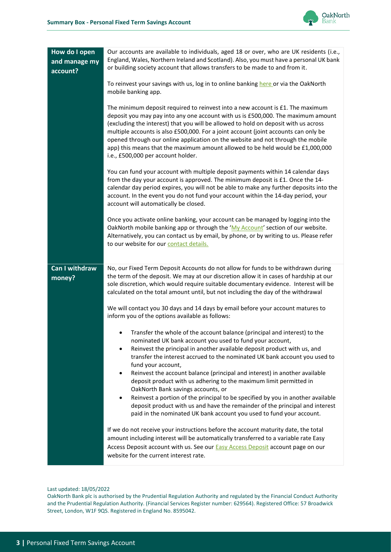

| How do I open<br>and manage my<br>account? | Our accounts are available to individuals, aged 18 or over, who are UK residents (i.e.,<br>England, Wales, Northern Ireland and Scotland). Also, you must have a personal UK bank<br>or building society account that allows transfers to be made to and from it.                                                                                                                                                                                                                                                                                           |  |  |  |
|--------------------------------------------|-------------------------------------------------------------------------------------------------------------------------------------------------------------------------------------------------------------------------------------------------------------------------------------------------------------------------------------------------------------------------------------------------------------------------------------------------------------------------------------------------------------------------------------------------------------|--|--|--|
|                                            | To reinvest your savings with us, log in to online banking here or via the OakNorth<br>mobile banking app.                                                                                                                                                                                                                                                                                                                                                                                                                                                  |  |  |  |
|                                            | The minimum deposit required to reinvest into a new account is £1. The maximum<br>deposit you may pay into any one account with us is £500,000. The maximum amount<br>(excluding the interest) that you will be allowed to hold on deposit with us across<br>multiple accounts is also £500,000. For a joint account (joint accounts can only be<br>opened through our online application on the website and not through the mobile<br>app) this means that the maximum amount allowed to be held would be £1,000,000<br>i.e., £500,000 per account holder. |  |  |  |
|                                            | You can fund your account with multiple deposit payments within 14 calendar days<br>from the day your account is approved. The minimum deposit is £1. Once the 14-<br>calendar day period expires, you will not be able to make any further deposits into the<br>account. In the event you do not fund your account within the 14-day period, your<br>account will automatically be closed.                                                                                                                                                                 |  |  |  |
|                                            | Once you activate online banking, your account can be managed by logging into the<br>OakNorth mobile banking app or through the 'My Account' section of our website.<br>Alternatively, you can contact us by email, by phone, or by writing to us. Please refer<br>to our website for our contact details.                                                                                                                                                                                                                                                  |  |  |  |
| <b>Can I withdraw</b><br>money?            | No, our Fixed Term Deposit Accounts do not allow for funds to be withdrawn during<br>the term of the deposit. We may at our discretion allow it in cases of hardship at our<br>sole discretion, which would require suitable documentary evidence. Interest will be<br>calculated on the total amount until, but not including the day of the withdrawal                                                                                                                                                                                                    |  |  |  |
|                                            | We will contact you 30 days and 14 days by email before your account matures to<br>inform you of the options available as follows:                                                                                                                                                                                                                                                                                                                                                                                                                          |  |  |  |
|                                            | Transfer the whole of the account balance (principal and interest) to the<br>nominated UK bank account you used to fund your account,                                                                                                                                                                                                                                                                                                                                                                                                                       |  |  |  |
|                                            | Reinvest the principal in another available deposit product with us, and<br>transfer the interest accrued to the nominated UK bank account you used to<br>fund your account,                                                                                                                                                                                                                                                                                                                                                                                |  |  |  |
|                                            | Reinvest the account balance (principal and interest) in another available<br>deposit product with us adhering to the maximum limit permitted in<br>OakNorth Bank savings accounts, or                                                                                                                                                                                                                                                                                                                                                                      |  |  |  |
|                                            | Reinvest a portion of the principal to be specified by you in another available<br>deposit product with us and have the remainder of the principal and interest<br>paid in the nominated UK bank account you used to fund your account.                                                                                                                                                                                                                                                                                                                     |  |  |  |
|                                            | If we do not receive your instructions before the account maturity date, the total<br>amount including interest will be automatically transferred to a variable rate Easy<br>Access Deposit account with us. See our <b>Easy Access Deposit account page on our</b><br>website for the current interest rate.                                                                                                                                                                                                                                               |  |  |  |

Last updated: 18/05/2022